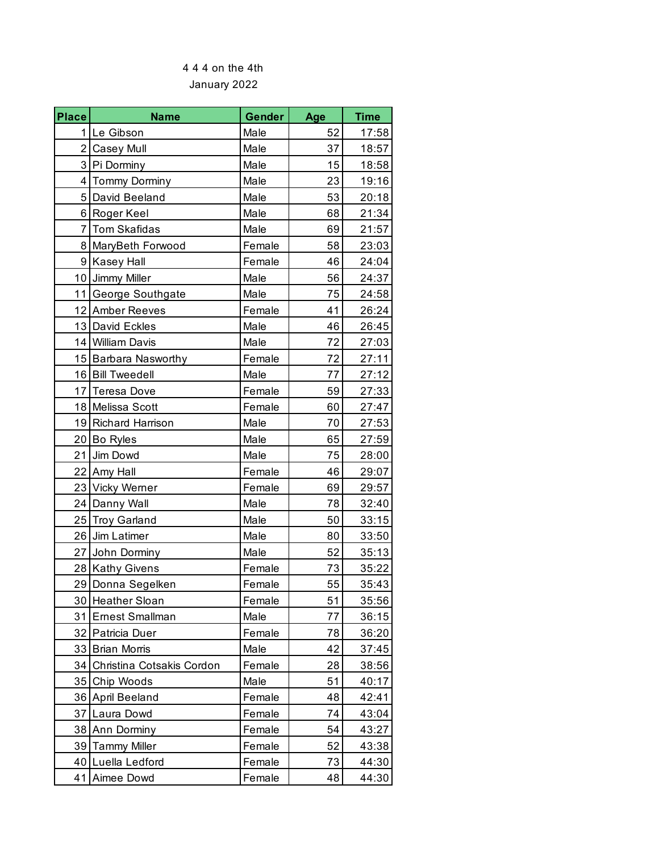## January 2022 4 4 4 on the 4th

| <b>Place</b>    | <b>Name</b>               | Gender | Age | <b>Time</b> |
|-----------------|---------------------------|--------|-----|-------------|
|                 | 1 Le Gibson               | Male   | 52  | 17:58       |
| 2 <sub>1</sub>  | <b>Casey Mull</b>         | Male   | 37  | 18:57       |
| 3               | Pi Dorminy                | Male   | 15  | 18:58       |
| $\overline{4}$  | <b>Tommy Dorminy</b>      | Male   | 23  | 19:16       |
| 5 <sup>1</sup>  | David Beeland             | Male   | 53  | 20:18       |
| $6 \mid$        | Roger Keel                | Male   | 68  | 21:34       |
| $\overline{7}$  | <b>Tom Skafidas</b>       | Male   | 69  | 21:57       |
| 8               | MaryBeth Forwood          | Female | 58  | 23:03       |
| 9 <sup>1</sup>  | <b>Kasey Hall</b>         | Female | 46  | 24:04       |
| 10              | Jimmy Miller              | Male   | 56  | 24:37       |
| 11              | George Southgate          | Male   | 75  | 24:58       |
|                 | 12 Amber Reeves           | Female | 41  | 26:24       |
|                 | 13 David Eckles           | Male   | 46  | 26:45       |
|                 | 14 William Davis          | Male   | 72  | 27:03       |
|                 | 15 Barbara Nasworthy      | Female | 72  | 27:11       |
|                 | 16 Bill Tweedell          | Male   | 77  | 27:12       |
| 17              | <b>Teresa Dove</b>        | Female | 59  | 27:33       |
| 18              | Melissa Scott             | Female | 60  | 27:47       |
|                 | 19 Richard Harrison       | Male   | 70  | 27:53       |
| 20              | Bo Ryles                  | Male   | 65  | 27:59       |
| 21              | Jim Dowd                  | Male   | 75  | 28:00       |
|                 | 22 Amy Hall               | Female | 46  | 29:07       |
| 23              | <b>Vicky Werner</b>       | Female | 69  | 29:57       |
|                 | 24 Danny Wall             | Male   | 78  | 32:40       |
| 25              | <b>Troy Garland</b>       | Male   | 50  | 33:15       |
| 26              | Jim Latimer               | Male   | 80  | 33:50       |
| 27              | John Dorminy              | Male   | 52  | 35:13       |
|                 | 28 Kathy Givens           | Female | 73  | 35:22       |
|                 | 29 Donna Segelken         | Female | 55  | 35:43       |
| 30 <sub>1</sub> | <b>Heather Sloan</b>      | Female | 51  | 35:56       |
| 31              | Ernest Smallman           | Male   | 77  | 36:15       |
| 32              | Patricia Duer             | Female | 78  | 36:20       |
| 33              | <b>Brian Morris</b>       | Male   | 42  | 37:45       |
| 34              | Christina Cotsakis Cordon | Female | 28  | 38:56       |
| 35              | Chip Woods                | Male   | 51  | 40:17       |
| 36              | April Beeland             | Female | 48  | 42:41       |
| 37              | Laura Dowd                | Female | 74  | 43:04       |
| 38              | Ann Dorminy               | Female | 54  | 43:27       |
| 39              | <b>Tammy Miller</b>       | Female | 52  | 43:38       |
| 40              | Luella Ledford            | Female | 73  | 44:30       |
| 41              | Aimee Dowd                | Female | 48  | 44:30       |